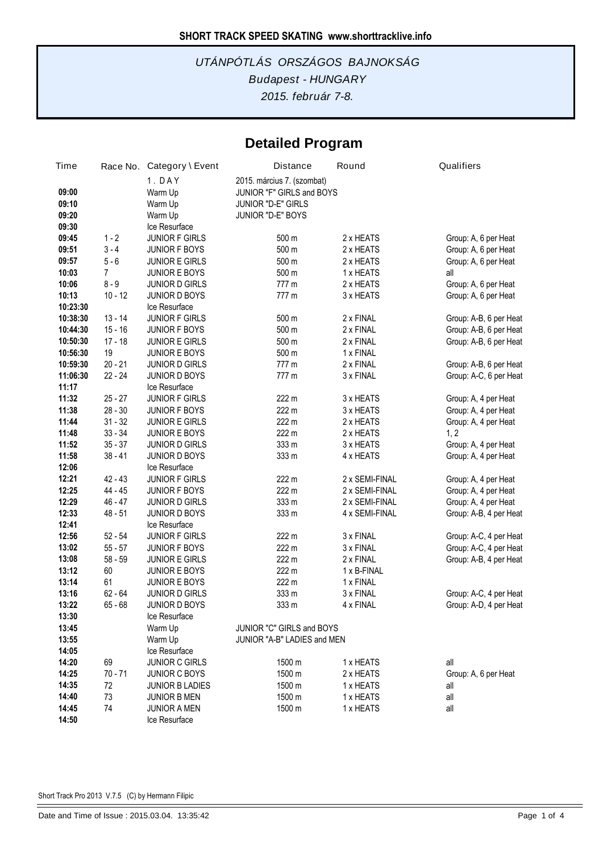# **Detailed Program**

| Time                    |                      | Race No. Category \ Event                     | <b>Distance</b>                                                                                    | Round                            | Qualifiers                                   |
|-------------------------|----------------------|-----------------------------------------------|----------------------------------------------------------------------------------------------------|----------------------------------|----------------------------------------------|
| 09:00<br>09:10<br>09:20 |                      | 1. DAY<br>Warm Up<br>Warm Up<br>Warm Up       | 2015. március 7. (szombat)<br>JUNIOR "F" GIRLS and BOYS<br>JUNIOR "D-E" GIRLS<br>JUNIOR "D-E" BOYS |                                  |                                              |
| 09:30                   |                      | Ice Resurface                                 |                                                                                                    |                                  |                                              |
| 09:45                   | $1 - 2$              | <b>JUNIOR F GIRLS</b>                         | 500 m                                                                                              | 2 x HEATS                        | Group: A, 6 per Heat                         |
| 09:51                   | $3 - 4$              | <b>JUNIOR F BOYS</b>                          | 500 m                                                                                              | 2 x HEATS                        | Group: A, 6 per Heat                         |
| 09:57                   | $5 - 6$              | <b>JUNIOR E GIRLS</b>                         | 500 m                                                                                              | 2 x HEATS                        | Group: A, 6 per Heat                         |
| 10:03                   | 7                    | <b>JUNIOR E BOYS</b>                          | 500 m                                                                                              | 1 x HEATS                        | all                                          |
| 10:06                   | $8 - 9$              | <b>JUNIOR D GIRLS</b>                         | 777 m                                                                                              | 2 x HEATS                        | Group: A, 6 per Heat                         |
| 10:13                   | $10 - 12$            | <b>JUNIOR D BOYS</b>                          | 777 m                                                                                              | 3 x HEATS                        | Group: A, 6 per Heat                         |
| 10:23:30                |                      | Ice Resurface                                 |                                                                                                    |                                  |                                              |
| 10:38:30                | $13 - 14$            | <b>JUNIOR F GIRLS</b>                         | 500 m                                                                                              | 2 x FINAL                        | Group: A-B, 6 per Heat                       |
| 10:44:30                | $15 - 16$            | <b>JUNIOR F BOYS</b>                          | 500 m                                                                                              | 2 x FINAL                        | Group: A-B, 6 per Heat                       |
| 10:50:30                | $17 - 18$            | <b>JUNIOR E GIRLS</b>                         | 500 m                                                                                              | 2 x FINAL                        | Group: A-B, 6 per Heat                       |
| 10:56:30                | 19                   | JUNIOR E BOYS                                 | 500 m                                                                                              | 1 x FINAL                        |                                              |
| 10:59:30                | $20 - 21$            | <b>JUNIOR D GIRLS</b>                         | 777 m                                                                                              | 2 x FINAL                        | Group: A-B, 6 per Heat                       |
| 11:06:30                | $22 - 24$            | <b>JUNIOR D BOYS</b>                          | 777 m                                                                                              | 3 x FINAL                        | Group: A-C, 6 per Heat                       |
| 11:17                   |                      | Ice Resurface                                 |                                                                                                    |                                  |                                              |
| 11:32                   | $25 - 27$            | <b>JUNIOR F GIRLS</b>                         | 222 m                                                                                              | 3 x HEATS                        | Group: A, 4 per Heat                         |
| 11:38                   | $28 - 30$            | <b>JUNIOR F BOYS</b>                          | 222 m                                                                                              | 3 x HEATS                        | Group: A, 4 per Heat                         |
| 11:44                   | $31 - 32$            | <b>JUNIOR E GIRLS</b>                         | 222 m                                                                                              | 2 x HEATS                        | Group: A, 4 per Heat                         |
| 11:48                   | $33 - 34$            | <b>JUNIOR E BOYS</b>                          | 222 m                                                                                              | 2 x HEATS                        | 1, 2                                         |
| 11:52                   | $35 - 37$            | <b>JUNIOR D GIRLS</b>                         | 333 m                                                                                              | 3 x HEATS                        | Group: A, 4 per Heat                         |
| 11:58                   | $38 - 41$            | <b>JUNIOR D BOYS</b>                          | 333 m                                                                                              | 4 x HEATS                        | Group: A, 4 per Heat                         |
| 12:06                   |                      | Ice Resurface                                 |                                                                                                    |                                  |                                              |
| 12:21                   | $42 - 43$<br>44 - 45 | JUNIOR F GIRLS                                | 222 m<br>222 m                                                                                     | 2 x SEMI-FINAL                   | Group: A, 4 per Heat                         |
| 12:25<br>12:29          | 46 - 47              | <b>JUNIOR F BOYS</b>                          | 333 m                                                                                              | 2 x SEMI-FINAL<br>2 x SEMI-FINAL | Group: A, 4 per Heat<br>Group: A, 4 per Heat |
| 12:33                   | $48 - 51$            | <b>JUNIOR D GIRLS</b><br><b>JUNIOR D BOYS</b> | 333 m                                                                                              | 4 x SEMI-FINAL                   | Group: A-B, 4 per Heat                       |
| 12:41                   |                      | Ice Resurface                                 |                                                                                                    |                                  |                                              |
| 12:56                   | $52 - 54$            | <b>JUNIOR F GIRLS</b>                         | 222 m                                                                                              | 3 x FINAL                        | Group: A-C, 4 per Heat                       |
| 13:02                   | $55 - 57$            | <b>JUNIOR F BOYS</b>                          | 222 m                                                                                              | 3 x FINAL                        | Group: A-C, 4 per Heat                       |
| 13:08                   | $58 - 59$            | <b>JUNIOR E GIRLS</b>                         | 222 m                                                                                              | 2 x FINAL                        | Group: A-B, 4 per Heat                       |
| 13:12                   | 60                   | <b>JUNIOR E BOYS</b>                          | 222 m                                                                                              | 1 x B-FINAL                      |                                              |
| 13:14                   | 61                   | <b>JUNIOR E BOYS</b>                          | 222 m                                                                                              | 1 x FINAL                        |                                              |
| 13:16                   | $62 - 64$            | <b>JUNIOR D GIRLS</b>                         | 333 m                                                                                              | 3 x FINAL                        | Group: A-C, 4 per Heat                       |
| 13:22                   | $65 - 68$            | <b>JUNIOR D BOYS</b>                          | 333 m                                                                                              | 4 x FINAL                        | Group: A-D, 4 per Heat                       |
| 13:30                   |                      | Ice Resurface                                 |                                                                                                    |                                  |                                              |
| 13:45                   |                      | Warm Up                                       | JUNIOR "C" GIRLS and BOYS                                                                          |                                  |                                              |
| 13:55                   |                      | Warm Up                                       | JUNIOR "A-B" LADIES and MEN                                                                        |                                  |                                              |
| 14:05                   |                      | Ice Resurface                                 |                                                                                                    |                                  |                                              |
| 14:20                   | 69                   | <b>JUNIOR C GIRLS</b>                         | 1500 m                                                                                             | 1 x HEATS                        | all                                          |
| 14:25                   | $70 - 71$            | <b>JUNIOR C BOYS</b>                          | 1500 m                                                                                             | 2 x HEATS                        | Group: A, 6 per Heat                         |
| 14:35                   | 72                   | <b>JUNIOR B LADIES</b>                        | 1500 m                                                                                             | 1 x HEATS                        | all                                          |
| 14:40                   | 73                   | <b>JUNIOR B MEN</b>                           | 1500 m                                                                                             | 1 x HEATS                        | all                                          |
| 14:45                   | 74                   | <b>JUNIOR A MEN</b>                           | 1500 m                                                                                             | 1 x HEATS                        | all                                          |
| 14:50                   |                      | Ice Resurface                                 |                                                                                                    |                                  |                                              |

Short Track Pro 2013 V.7.5 (C) by Hermann Filipic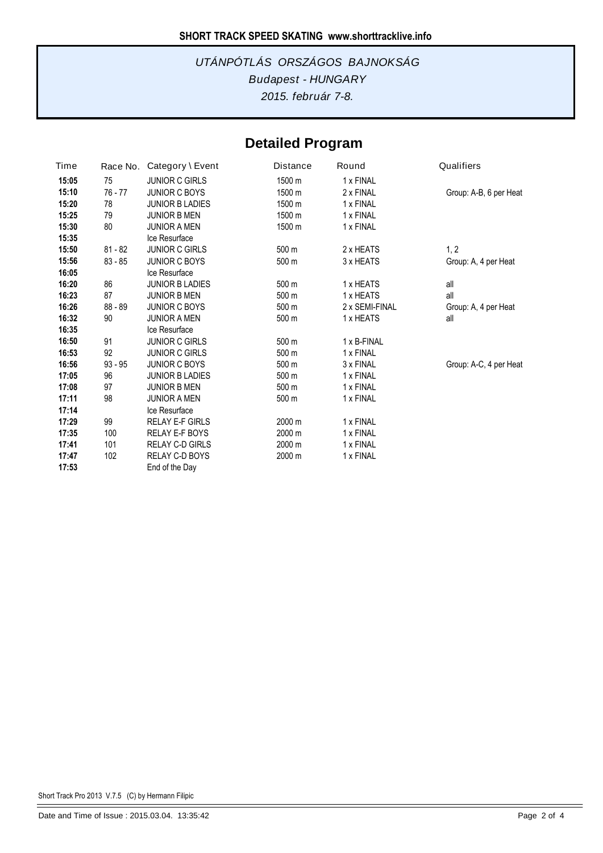# **Detailed Program**

| Time  | Race No.  | Category \ Event       | Distance | Round          | Qualifiers             |
|-------|-----------|------------------------|----------|----------------|------------------------|
| 15:05 | 75        | <b>JUNIOR C GIRLS</b>  | 1500 m   | 1 x FINAL      |                        |
| 15:10 | $76 - 77$ | <b>JUNIOR C BOYS</b>   | 1500 m   | 2 x FINAL      | Group: A-B, 6 per Heat |
| 15:20 | 78        | <b>JUNIOR B LADIES</b> | 1500 m   | 1 x FINAL      |                        |
| 15:25 | 79        | <b>JUNIOR B MEN</b>    | 1500 m   | 1 x FINAL      |                        |
| 15:30 | 80        | <b>JUNIOR A MEN</b>    | 1500 m   | 1 x FINAL      |                        |
| 15:35 |           | Ice Resurface          |          |                |                        |
| 15:50 | $81 - 82$ | <b>JUNIOR C GIRLS</b>  | 500 m    | 2 x HEATS      | 1, 2                   |
| 15:56 | $83 - 85$ | <b>JUNIOR C BOYS</b>   | 500 m    | 3 x HEATS      | Group: A, 4 per Heat   |
| 16:05 |           | Ice Resurface          |          |                |                        |
| 16:20 | 86        | <b>JUNIOR B LADIES</b> | 500 m    | 1 x HEATS      | all                    |
| 16:23 | 87        | <b>JUNIOR B MEN</b>    | 500 m    | 1 x HEATS      | all                    |
| 16:26 | $88 - 89$ | <b>JUNIOR C BOYS</b>   | 500 m    | 2 x SEMI-FINAL | Group: A, 4 per Heat   |
| 16:32 | 90        | <b>JUNIOR A MEN</b>    | 500 m    | 1 x HEATS      | all                    |
| 16:35 |           | Ice Resurface          |          |                |                        |
| 16:50 | 91        | <b>JUNIOR C GIRLS</b>  | 500 m    | 1 x B-FINAL    |                        |
| 16:53 | 92        | <b>JUNIOR C GIRLS</b>  | 500 m    | 1 x FINAL      |                        |
| 16:56 | $93 - 95$ | <b>JUNIOR C BOYS</b>   | 500 m    | 3 x FINAL      | Group: A-C, 4 per Heat |
| 17:05 | 96        | <b>JUNIOR B LADIES</b> | 500 m    | 1 x FINAL      |                        |
| 17:08 | 97        | <b>JUNIOR B MEN</b>    | 500 m    | 1 x FINAL      |                        |
| 17:11 | 98        | <b>JUNIOR A MEN</b>    | 500 m    | 1 x FINAL      |                        |
| 17:14 |           | Ice Resurface          |          |                |                        |
| 17:29 | 99        | <b>RELAY E-F GIRLS</b> | 2000 m   | 1 x FINAL      |                        |
| 17:35 | 100       | <b>RELAY E-F BOYS</b>  | 2000 m   | 1 x FINAL      |                        |
| 17:41 | 101       | RELAY C-D GIRLS        | 2000 m   | 1 x FINAL      |                        |
| 17:47 | 102       | <b>RELAY C-D BOYS</b>  | 2000 m   | 1 x FINAL      |                        |
| 17:53 |           | End of the Day         |          |                |                        |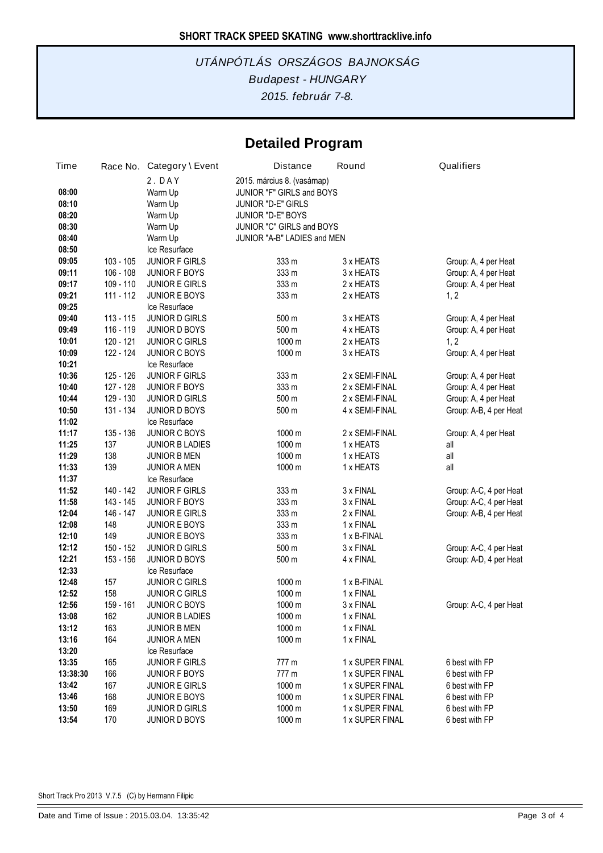# **Detailed Program**

| Time     |             | Race No. Category \ Event | <b>Distance</b>             | Round           | Qualifiers             |  |  |
|----------|-------------|---------------------------|-----------------------------|-----------------|------------------------|--|--|
|          |             | 2. DAY                    | 2015. március 8. (vasárnap) |                 |                        |  |  |
| 08:00    |             | Warm Up                   | JUNIOR "F" GIRLS and BOYS   |                 |                        |  |  |
| 08:10    |             | Warm Up                   | JUNIOR "D-E" GIRLS          |                 |                        |  |  |
| 08:20    |             | Warm Up                   | JUNIOR "D-E" BOYS           |                 |                        |  |  |
| 08:30    |             | Warm Up                   | JUNIOR "C" GIRLS and BOYS   |                 |                        |  |  |
| 08:40    |             | Warm Up                   | JUNIOR "A-B" LADIES and MEN |                 |                        |  |  |
| 08:50    |             | Ice Resurface             |                             |                 |                        |  |  |
| 09:05    | $103 - 105$ | JUNIOR F GIRLS            | 333 m                       | 3 x HEATS       | Group: A, 4 per Heat   |  |  |
| 09:11    | $106 - 108$ | JUNIOR F BOYS             | 333 m                       | 3 x HEATS       | Group: A, 4 per Heat   |  |  |
| 09:17    | 109 - 110   | <b>JUNIOR E GIRLS</b>     | 333 m                       | 2 x HEATS       | Group: A, 4 per Heat   |  |  |
| 09:21    | 111 - 112   | <b>JUNIOR E BOYS</b>      | 333 m                       | 2 x HEATS       | 1, 2                   |  |  |
| 09:25    |             | Ice Resurface             |                             |                 |                        |  |  |
| 09:40    | $113 - 115$ | <b>JUNIOR D GIRLS</b>     | 500 m                       | 3 x HEATS       | Group: A, 4 per Heat   |  |  |
| 09:49    | 116 - 119   | <b>JUNIOR D BOYS</b>      | 500 m                       | 4 x HEATS       | Group: A, 4 per Heat   |  |  |
| 10:01    | 120 - 121   | <b>JUNIOR C GIRLS</b>     | 1000 m                      | 2 x HEATS       | 1, 2                   |  |  |
| 10:09    | 122 - 124   | JUNIOR C BOYS             | 1000 m                      | 3 x HEATS       | Group: A, 4 per Heat   |  |  |
| 10:21    |             | Ice Resurface             |                             |                 |                        |  |  |
| 10:36    | 125 - 126   | JUNIOR F GIRLS            | 333 m                       | 2 x SEMI-FINAL  | Group: A, 4 per Heat   |  |  |
| 10:40    | 127 - 128   | <b>JUNIOR F BOYS</b>      | 333 m                       | 2 x SEMI-FINAL  | Group: A, 4 per Heat   |  |  |
| 10:44    | 129 - 130   | <b>JUNIOR D GIRLS</b>     | 500 m                       | 2 x SEMI-FINAL  | Group: A, 4 per Heat   |  |  |
| 10:50    | 131 - 134   | <b>JUNIOR D BOYS</b>      | 500 m                       | 4 x SEMI-FINAL  | Group: A-B, 4 per Heat |  |  |
| 11:02    |             | Ice Resurface             |                             |                 |                        |  |  |
| 11:17    | 135 - 136   | JUNIOR C BOYS             | 1000 m                      | 2 x SEMI-FINAL  | Group: A, 4 per Heat   |  |  |
| 11:25    | 137         | <b>JUNIOR B LADIES</b>    | 1000 m                      | 1 x HEATS       | all                    |  |  |
| 11:29    | 138         | <b>JUNIOR B MEN</b>       | 1000 m                      | 1 x HEATS       | all                    |  |  |
| 11:33    | 139         | <b>JUNIOR A MEN</b>       | 1000 m                      | 1 x HEATS       | all                    |  |  |
| 11:37    |             | Ice Resurface             |                             |                 |                        |  |  |
| 11:52    | 140 - 142   | <b>JUNIOR F GIRLS</b>     | 333 m                       | 3 x FINAL       | Group: A-C, 4 per Heat |  |  |
| 11:58    | 143 - 145   | <b>JUNIOR F BOYS</b>      | 333 m                       | 3 x FINAL       | Group: A-C, 4 per Heat |  |  |
| 12:04    | 146 - 147   | <b>JUNIOR E GIRLS</b>     | 333 m                       | 2 x FINAL       | Group: A-B, 4 per Heat |  |  |
| 12:08    | 148         | <b>JUNIOR E BOYS</b>      | 333 m                       | 1 x FINAL       |                        |  |  |
| 12:10    | 149         | JUNIOR E BOYS             | 333 m                       | 1 x B-FINAL     |                        |  |  |
| 12:12    | 150 - 152   | <b>JUNIOR D GIRLS</b>     | 500 m                       | 3 x FINAL       | Group: A-C, 4 per Heat |  |  |
| 12:21    | 153 - 156   | <b>JUNIOR D BOYS</b>      | 500 m                       | 4 x FINAL       | Group: A-D, 4 per Heat |  |  |
| 12:33    |             | Ice Resurface             |                             |                 |                        |  |  |
| 12:48    | 157         | <b>JUNIOR C GIRLS</b>     | 1000 m                      | 1 x B-FINAL     |                        |  |  |
| 12:52    | 158         | <b>JUNIOR C GIRLS</b>     | 1000 m                      | 1 x FINAL       |                        |  |  |
| 12:56    | 159 - 161   | <b>JUNIOR C BOYS</b>      | 1000 m                      | 3 x FINAL       | Group: A-C, 4 per Heat |  |  |
| 13:08    | 162         | <b>JUNIOR B LADIES</b>    | 1000 m                      | 1 x FINAL       |                        |  |  |
| 13:12    | 163         | <b>JUNIOR B MEN</b>       | 1000 m                      | 1 x FINAL       |                        |  |  |
| 13:16    | 164         | <b>JUNIOR A MEN</b>       | 1000 m                      | 1 x FINAL       |                        |  |  |
| 13:20    |             | Ice Resurface             |                             |                 |                        |  |  |
| 13:35    | 165         | <b>JUNIOR F GIRLS</b>     | 777 m                       | 1 x SUPER FINAL | 6 best with FP         |  |  |
| 13:38:30 | 166         | <b>JUNIOR F BOYS</b>      | 777 m                       | 1 x SUPER FINAL | 6 best with FP         |  |  |
| 13:42    | 167         | <b>JUNIOR E GIRLS</b>     | 1000 m                      | 1 x SUPER FINAL | 6 best with FP         |  |  |
| 13:46    | 168         | <b>JUNIOR E BOYS</b>      | 1000 m                      | 1 x SUPER FINAL | 6 best with FP         |  |  |
| 13:50    | 169         | <b>JUNIOR D GIRLS</b>     | 1000 m                      | 1 x SUPER FINAL | 6 best with FP         |  |  |
| 13:54    | 170         | JUNIOR D BOYS             | 1000 m                      | 1 x SUPER FINAL | 6 best with FP         |  |  |

Short Track Pro 2013 V.7.5 (C) by Hermann Filipic